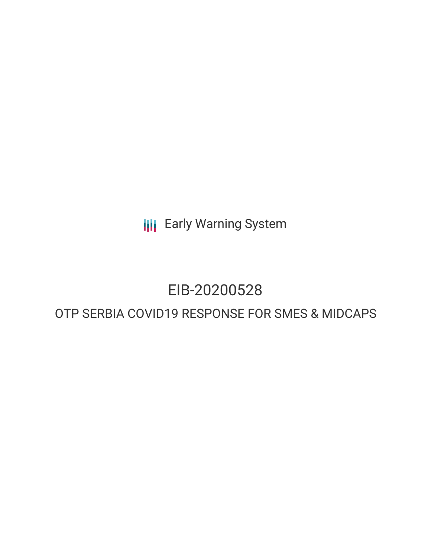**III** Early Warning System

# EIB-20200528

# OTP SERBIA COVID19 RESPONSE FOR SMES & MIDCAPS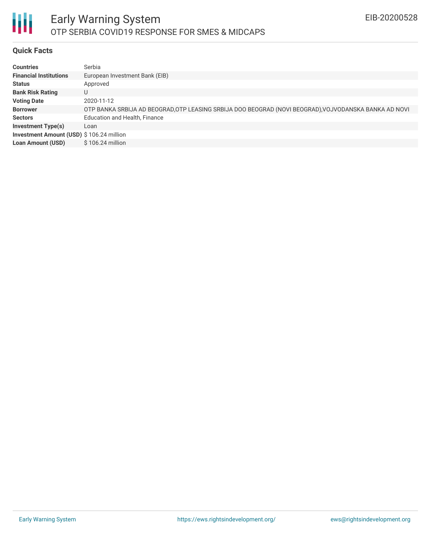

## **Quick Facts**

| <b>Countries</b>                         | Serbia                                                                                                |
|------------------------------------------|-------------------------------------------------------------------------------------------------------|
| <b>Financial Institutions</b>            | European Investment Bank (EIB)                                                                        |
| <b>Status</b>                            | Approved                                                                                              |
| <b>Bank Risk Rating</b>                  | U                                                                                                     |
| <b>Voting Date</b>                       | 2020-11-12                                                                                            |
| <b>Borrower</b>                          | OTP BANKA SRBIJA AD BEOGRAD, OTP LEASING SRBIJA DOO BEOGRAD (NOVI BEOGRAD), VOJVODANSKA BANKA AD NOVI |
| <b>Sectors</b>                           | <b>Education and Health, Finance</b>                                                                  |
| <b>Investment Type(s)</b>                | Loan                                                                                                  |
| Investment Amount (USD) \$106.24 million |                                                                                                       |
| <b>Loan Amount (USD)</b>                 | $$106.24$ million                                                                                     |
|                                          |                                                                                                       |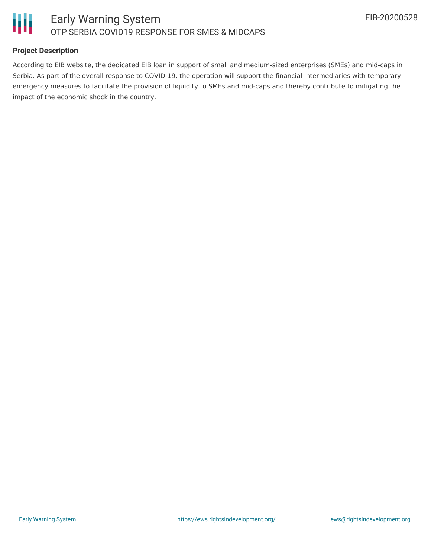

## **Project Description**

According to EIB website, the dedicated EIB loan in support of small and medium-sized enterprises (SMEs) and mid-caps in Serbia. As part of the overall response to COVID-19, the operation will support the financial intermediaries with temporary emergency measures to facilitate the provision of liquidity to SMEs and mid-caps and thereby contribute to mitigating the impact of the economic shock in the country.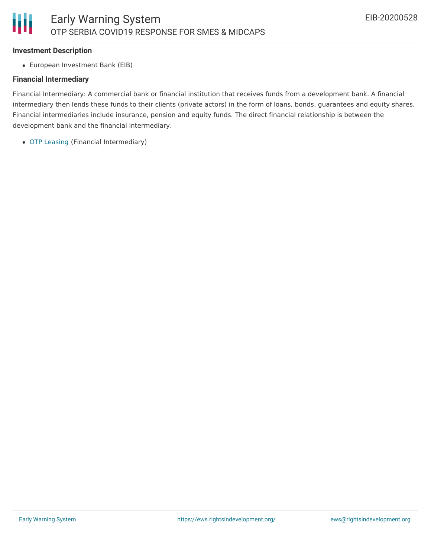#### **Investment Description**

European Investment Bank (EIB)

#### **Financial Intermediary**

Financial Intermediary: A commercial bank or financial institution that receives funds from a development bank. A financial intermediary then lends these funds to their clients (private actors) in the form of loans, bonds, guarantees and equity shares. Financial intermediaries include insurance, pension and equity funds. The direct financial relationship is between the development bank and the financial intermediary.

OTP [Leasing](file:///actor/2300/) (Financial Intermediary)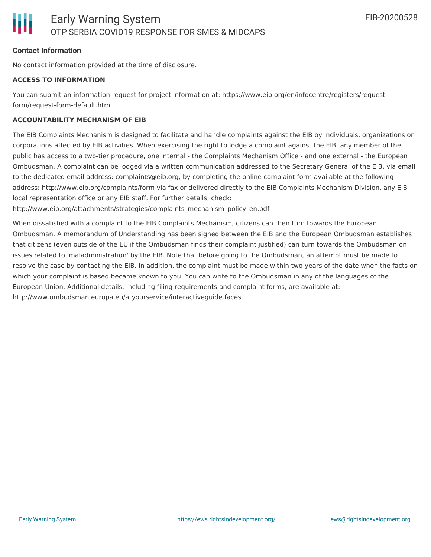#### **Contact Information**

No contact information provided at the time of disclosure.

#### **ACCESS TO INFORMATION**

You can submit an information request for project information at: https://www.eib.org/en/infocentre/registers/requestform/request-form-default.htm

#### **ACCOUNTABILITY MECHANISM OF EIB**

The EIB Complaints Mechanism is designed to facilitate and handle complaints against the EIB by individuals, organizations or corporations affected by EIB activities. When exercising the right to lodge a complaint against the EIB, any member of the public has access to a two-tier procedure, one internal - the Complaints Mechanism Office - and one external - the European Ombudsman. A complaint can be lodged via a written communication addressed to the Secretary General of the EIB, via email to the dedicated email address: complaints@eib.org, by completing the online complaint form available at the following address: http://www.eib.org/complaints/form via fax or delivered directly to the EIB Complaints Mechanism Division, any EIB local representation office or any EIB staff. For further details, check:

http://www.eib.org/attachments/strategies/complaints\_mechanism\_policy\_en.pdf

When dissatisfied with a complaint to the EIB Complaints Mechanism, citizens can then turn towards the European Ombudsman. A memorandum of Understanding has been signed between the EIB and the European Ombudsman establishes that citizens (even outside of the EU if the Ombudsman finds their complaint justified) can turn towards the Ombudsman on issues related to 'maladministration' by the EIB. Note that before going to the Ombudsman, an attempt must be made to resolve the case by contacting the EIB. In addition, the complaint must be made within two years of the date when the facts on which your complaint is based became known to you. You can write to the Ombudsman in any of the languages of the European Union. Additional details, including filing requirements and complaint forms, are available at: http://www.ombudsman.europa.eu/atyourservice/interactiveguide.faces